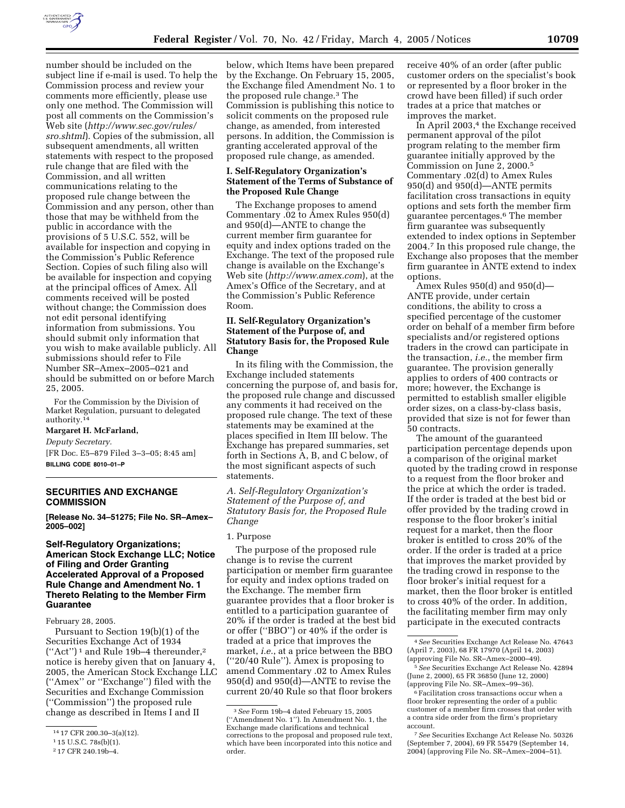

number should be included on the subject line if e-mail is used. To help the Commission process and review your comments more efficiently, please use only one method. The Commission will post all comments on the Commission's Web site (*http://www.sec.gov/rules/ sro.shtml*). Copies of the submission, all subsequent amendments, all written statements with respect to the proposed rule change that are filed with the Commission, and all written communications relating to the proposed rule change between the Commission and any person, other than those that may be withheld from the public in accordance with the provisions of 5 U.S.C. 552, will be available for inspection and copying in the Commission's Public Reference Section. Copies of such filing also will be available for inspection and copying at the principal offices of Amex. All comments received will be posted without change; the Commission does not edit personal identifying information from submissions. You should submit only information that you wish to make available publicly. All submissions should refer to File Number SR–Amex–2005–021 and should be submitted on or before March 25, 2005.

For the Commission by the Division of Market Regulation, pursuant to delegated authority.14

#### **Margaret H. McFarland,**

*Deputy Secretary.* [FR Doc. E5–879 Filed 3–3–05; 8:45 am] **BILLING CODE 8010–01–P**

#### **SECURITIES AND EXCHANGE COMMISSION**

**[Release No. 34–51275; File No. SR–Amex– 2005–002]** 

# **Self-Regulatory Organizations; American Stock Exchange LLC; Notice of Filing and Order Granting Accelerated Approval of a Proposed Rule Change and Amendment No. 1 Thereto Relating to the Member Firm Guarantee**

February 28, 2005.

Pursuant to Section 19(b)(1) of the Securities Exchange Act of 1934 (''Act'') 1 and Rule 19b–4 thereunder,2 notice is hereby given that on January 4, 2005, the American Stock Exchange LLC (''Amex'' or ''Exchange'') filed with the Securities and Exchange Commission (''Commission'') the proposed rule change as described in Items I and II

below, which Items have been prepared by the Exchange. On February 15, 2005, the Exchange filed Amendment No. 1 to the proposed rule change.3 The Commission is publishing this notice to solicit comments on the proposed rule change, as amended, from interested persons. In addition, the Commission is granting accelerated approval of the proposed rule change, as amended.

#### **I. Self-Regulatory Organization's Statement of the Terms of Substance of the Proposed Rule Change**

The Exchange proposes to amend Commentary .02 to Amex Rules 950(d) and 950(d)—ANTE to change the current member firm guarantee for equity and index options traded on the Exchange. The text of the proposed rule change is available on the Exchange's Web site (*http://www.amex.com*), at the Amex's Office of the Secretary, and at the Commission's Public Reference Room.

# **II. Self-Regulatory Organization's Statement of the Purpose of, and Statutory Basis for, the Proposed Rule Change**

In its filing with the Commission, the Exchange included statements concerning the purpose of, and basis for, the proposed rule change and discussed any comments it had received on the proposed rule change. The text of these statements may be examined at the places specified in Item III below. The Exchange has prepared summaries, set forth in Sections A, B, and C below, of the most significant aspects of such statements.

*A. Self-Regulatory Organization's Statement of the Purpose of, and Statutory Basis for, the Proposed Rule Change* 

## 1. Purpose

The purpose of the proposed rule change is to revise the current participation or member firm guarantee for equity and index options traded on the Exchange. The member firm guarantee provides that a floor broker is entitled to a participation guarantee of 20% if the order is traded at the best bid or offer (''BBO'') or 40% if the order is traded at a price that improves the market, *i.e.*, at a price between the BBO (''20/40 Rule''). Amex is proposing to amend Commentary .02 to Amex Rules 950(d) and 950(d)—ANTE to revise the current 20/40 Rule so that floor brokers

receive 40% of an order (after public customer orders on the specialist's book or represented by a floor broker in the crowd have been filled) if such order trades at a price that matches or improves the market.

In April 2003,<sup>4</sup> the Exchange received permanent approval of the pilot program relating to the member firm guarantee initially approved by the Commission on June 2, 2000.5 Commentary .02(d) to Amex Rules 950(d) and 950(d)—ANTE permits facilitation cross transactions in equity options and sets forth the member firm guarantee percentages.6 The member firm guarantee was subsequently extended to index options in September 2004.7 In this proposed rule change, the Exchange also proposes that the member firm guarantee in ANTE extend to index options.

Amex Rules 950(d) and 950(d)— ANTE provide, under certain conditions, the ability to cross a specified percentage of the customer order on behalf of a member firm before specialists and/or registered options traders in the crowd can participate in the transaction, *i.e.*, the member firm guarantee. The provision generally applies to orders of 400 contracts or more; however, the Exchange is permitted to establish smaller eligible order sizes, on a class-by-class basis, provided that size is not for fewer than 50 contracts.

The amount of the guaranteed participation percentage depends upon a comparison of the original market quoted by the trading crowd in response to a request from the floor broker and the price at which the order is traded. If the order is traded at the best bid or offer provided by the trading crowd in response to the floor broker's initial request for a market, then the floor broker is entitled to cross 20% of the order. If the order is traded at a price that improves the market provided by the trading crowd in response to the floor broker's initial request for a market, then the floor broker is entitled to cross 40% of the order. In addition, the facilitating member firm may only participate in the executed contracts

7*See* Securities Exchange Act Release No. 50326 (September 7, 2004), 69 FR 55479 (September 14, 2004) (approving File No. SR–Amex–2004–51).

<sup>14</sup> 17 CFR 200.30–3(a)(12).

<sup>1</sup> 15 U.S.C. 78s(b)(1).

<sup>2</sup> 17 CFR 240.19b–4.

<sup>3</sup>*See* Form 19b–4 dated February 15, 2005 (''Amendment No. 1''). In Amendment No. 1, the Exchange made clarifications and technical corrections to the proposal and proposed rule text, which have been incorporated into this notice and order.

<sup>4</sup>*See* Securities Exchange Act Release No. 47643 (April 7, 2003), 68 FR 17970 (April 14, 2003) (approving File No. SR–Amex–2000–49).

<sup>5</sup>*See* Securities Exchange Act Release No. 42894 (June 2, 2000), 65 FR 36850 (June 12, 2000) (approving File No. SR–Amex–99–36).

<sup>6</sup>Facilitation cross transactions occur when a floor broker representing the order of a public customer of a member firm crosses that order with a contra side order from the firm's proprietary account.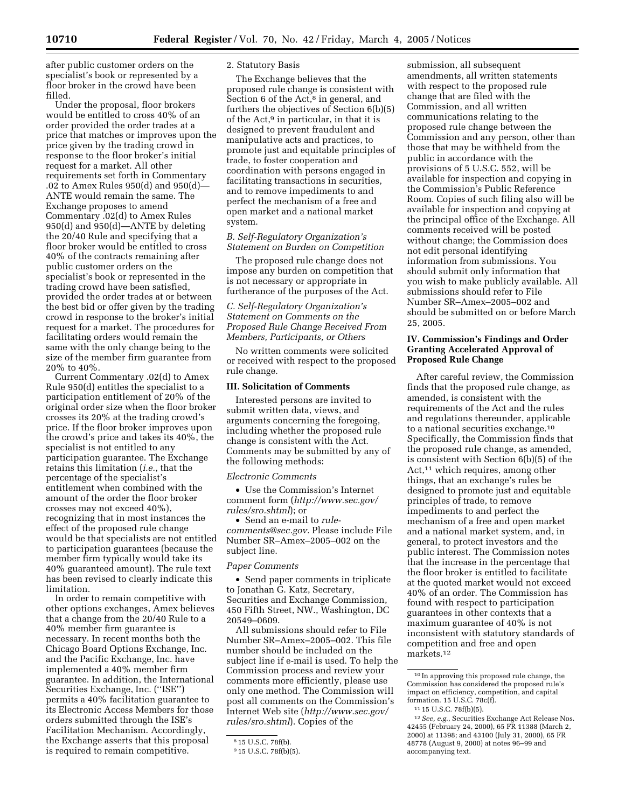after public customer orders on the specialist's book or represented by a floor broker in the crowd have been

filled. Under the proposal, floor brokers would be entitled to cross 40% of an order provided the order trades at a price that matches or improves upon the price given by the trading crowd in response to the floor broker's initial request for a market. All other requirements set forth in Commentary .02 to Amex Rules 950(d) and 950(d)— ANTE would remain the same. The Exchange proposes to amend Commentary .02(d) to Amex Rules 950(d) and 950(d)—ANTE by deleting the 20/40 Rule and specifying that a floor broker would be entitled to cross 40% of the contracts remaining after public customer orders on the specialist's book or represented in the trading crowd have been satisfied, provided the order trades at or between the best bid or offer given by the trading crowd in response to the broker's initial request for a market. The procedures for facilitating orders would remain the same with the only change being to the size of the member firm guarantee from 20% to 40%.

Current Commentary .02(d) to Amex Rule 950(d) entitles the specialist to a participation entitlement of 20% of the original order size when the floor broker crosses its 20% at the trading crowd's price. If the floor broker improves upon the crowd's price and takes its 40%, the specialist is not entitled to any participation guarantee. The Exchange retains this limitation (*i.e.*, that the percentage of the specialist's entitlement when combined with the amount of the order the floor broker crosses may not exceed 40%), recognizing that in most instances the effect of the proposed rule change would be that specialists are not entitled to participation guarantees (because the member firm typically would take its 40% guaranteed amount). The rule text has been revised to clearly indicate this limitation.

In order to remain competitive with other options exchanges, Amex believes that a change from the 20/40 Rule to a 40% member firm guarantee is necessary. In recent months both the Chicago Board Options Exchange, Inc. and the Pacific Exchange, Inc. have implemented a 40% member firm guarantee. In addition, the International Securities Exchange, Inc. (''ISE'') permits a 40% facilitation guarantee to its Electronic Access Members for those orders submitted through the ISE's Facilitation Mechanism. Accordingly, the Exchange asserts that this proposal is required to remain competitive.

#### 2. Statutory Basis

The Exchange believes that the proposed rule change is consistent with Section  $6$  of the Act, $8$  in general, and furthers the objectives of Section 6(b)(5) of the Act,9 in particular, in that it is designed to prevent fraudulent and manipulative acts and practices, to promote just and equitable principles of trade, to foster cooperation and coordination with persons engaged in facilitating transactions in securities, and to remove impediments to and perfect the mechanism of a free and open market and a national market system.

# *B. Self-Regulatory Organization's Statement on Burden on Competition*

The proposed rule change does not impose any burden on competition that is not necessary or appropriate in furtherance of the purposes of the Act.

# *C. Self-Regulatory Organization's Statement on Comments on the Proposed Rule Change Received From Members, Participants, or Others*

No written comments were solicited or received with respect to the proposed rule change.

#### **III. Solicitation of Comments**

Interested persons are invited to submit written data, views, and arguments concerning the foregoing, including whether the proposed rule change is consistent with the Act. Comments may be submitted by any of the following methods:

#### *Electronic Comments*

• Use the Commission's Internet comment form (*http://www.sec.gov/ rules/sro.shtml*); or

• Send an e-mail to *rulecomments@sec.gov.* Please include File Number SR–Amex–2005–002 on the subject line.

#### *Paper Comments*

• Send paper comments in triplicate to Jonathan G. Katz, Secretary, Securities and Exchange Commission, 450 Fifth Street, NW., Washington, DC 20549–0609.

All submissions should refer to File Number SR–Amex–2005–002. This file number should be included on the subject line if e-mail is used. To help the Commission process and review your comments more efficiently, please use only one method. The Commission will post all comments on the Commission's Internet Web site (*http://www.sec.gov/ rules/sro.shtml*). Copies of the

submission, all subsequent amendments, all written statements with respect to the proposed rule change that are filed with the Commission, and all written communications relating to the proposed rule change between the Commission and any person, other than those that may be withheld from the public in accordance with the provisions of 5 U.S.C. 552, will be available for inspection and copying in the Commission's Public Reference Room. Copies of such filing also will be available for inspection and copying at the principal office of the Exchange. All comments received will be posted without change; the Commission does not edit personal identifying information from submissions. You should submit only information that you wish to make publicly available. All submissions should refer to File Number SR–Amex–2005–002 and should be submitted on or before March 25, 2005.

# **IV. Commission's Findings and Order Granting Accelerated Approval of Proposed Rule Change**

After careful review, the Commission finds that the proposed rule change, as amended, is consistent with the requirements of the Act and the rules and regulations thereunder, applicable to a national securities exchange.10 Specifically, the Commission finds that the proposed rule change, as amended, is consistent with Section 6(b)(5) of the Act,11 which requires, among other things, that an exchange's rules be designed to promote just and equitable principles of trade, to remove impediments to and perfect the mechanism of a free and open market and a national market system, and, in general, to protect investors and the public interest. The Commission notes that the increase in the percentage that the floor broker is entitled to facilitate at the quoted market would not exceed 40% of an order. The Commission has found with respect to participation guarantees in other contexts that a maximum guarantee of 40% is not inconsistent with statutory standards of competition and free and open markets.12

<sup>8</sup> 15 U.S.C. 78f(b).

<sup>9</sup> 15 U.S.C. 78f(b)(5).

<sup>10</sup> In approving this proposed rule change, the Commission has considered the proposed rule's impact on efficiency, competition, and capital formation. 15 U.S.C. 78c(f).

<sup>11</sup> 15 U.S.C. 78f(b)(5).

<sup>12</sup>*See, e.g.*, Securities Exchange Act Release Nos. 42455 (February 24, 2000), 65 FR 11388 (March 2, 2000) at 11398; and 43100 (July 31, 2000), 65 FR 48778 (August 9, 2000) at notes 96–99 and accompanying text.